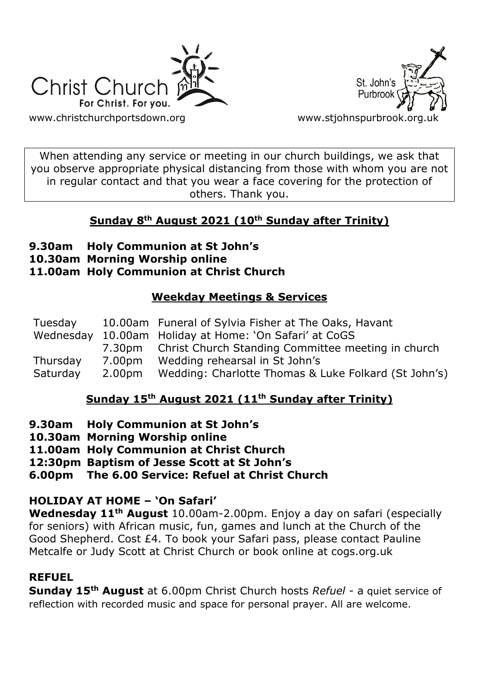



[www.christchurchportsdown.org](http://www.christchurchportsdown.org/) www.stjohnspurbrook.org

When attending any service or meeting in our church buildings, we ask that you observe appropriate physical distancing from those with whom you are not in regular contact and that you wear a face covering for the protection of others. Thank you.

## **Sunday 8th August 2021 (10th Sunday after Trinity)**

- **9.30am Holy Communion at St John's**
- **10.30am Morning Worship online**

### **11.00am Holy Communion at Christ Church**

## **Weekday Meetings & Services**

| Tuesday  |                    | 10.00am Funeral of Sylvia Fisher at The Oaks, Havant      |
|----------|--------------------|-----------------------------------------------------------|
|          |                    | Wednesday 10.00am Holiday at Home: 'On Safari' at CoGS    |
|          |                    | 7.30pm Christ Church Standing Committee meeting in church |
| Thursday | 7.00pm             | Wedding rehearsal in St John's                            |
| Saturday | 2.00 <sub>pm</sub> | Wedding: Charlotte Thomas & Luke Folkard (St John's)      |

## **Sunday 15th August 2021 (11th Sunday after Trinity)**

- **9.30am Holy Communion at St John's**
- **10.30am Morning Worship online**
- **11.00am Holy Communion at Christ Church**
- **12:30pm Baptism of Jesse Scott at St John's**
- **6.00pm The 6.00 Service: Refuel at Christ Church**

## **HOLIDAY AT HOME – 'On Safari'**

**Wednesday 11th August** 10.00am-2.00pm. Enjoy a day on safari (especially for seniors) with African music, fun, games and lunch at the Church of the Good Shepherd. Cost £4. To book your Safari pass, please contact Pauline Metcalfe or Judy Scott at Christ Church or book online at cogs.org.uk

## **REFUEL**

**Sunday 15th August** at 6.00pm Christ Church hosts *Refuel* - a quiet service of reflection with recorded music and space for personal prayer. All are welcome.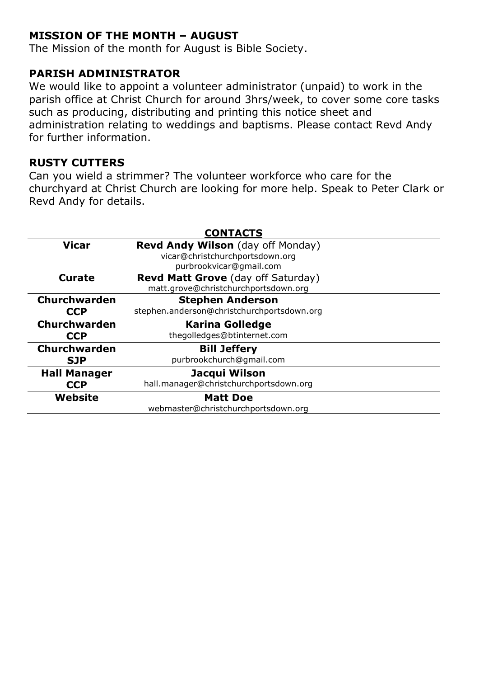### **MISSION OF THE MONTH – AUGUST**

The Mission of the month for August is Bible Society.

### **PARISH ADMINISTRATOR**

We would like to appoint a volunteer administrator (unpaid) to work in the parish office at Christ Church for around 3hrs/week, to cover some core tasks such as producing, distributing and printing this notice sheet and administration relating to weddings and baptisms. Please contact Revd Andy for further information.

#### **RUSTY CUTTERS**

Can you wield a strimmer? The volunteer workforce who care for the churchyard at Christ Church are looking for more help. Speak to Peter Clark or Revd Andy for details.

|                     | <b>CONTACTS</b>                            |
|---------------------|--------------------------------------------|
| <b>Vicar</b>        | <b>Revd Andy Wilson</b> (day off Monday)   |
|                     | vicar@christchurchportsdown.org            |
|                     | purbrookvicar@gmail.com                    |
| <b>Curate</b>       | <b>Revd Matt Grove</b> (day off Saturday)  |
|                     | matt.grove@christchurchportsdown.org       |
| Churchwarden        | <b>Stephen Anderson</b>                    |
| <b>CCP</b>          | stephen.anderson@christchurchportsdown.org |
| <b>Churchwarden</b> | <b>Karina Golledge</b>                     |
| <b>CCP</b>          | thegolledges@btinternet.com                |
| <b>Churchwarden</b> | <b>Bill Jeffery</b>                        |
| <b>SJP</b>          | purbrookchurch@qmail.com                   |
| <b>Hall Manager</b> | Jacqui Wilson                              |
| <b>CCP</b>          | hall.manager@christchurchportsdown.org     |
| Website             | <b>Matt Doe</b>                            |
|                     | webmaster@christchurchportsdown.org        |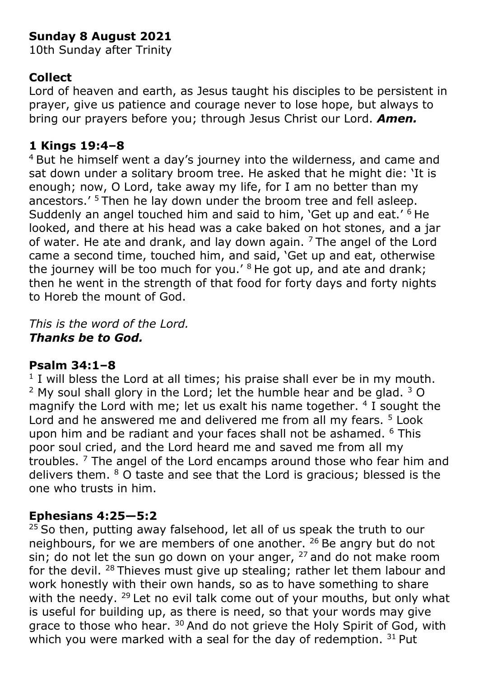# **Sunday 8 August 2021**

10th Sunday after Trinity

# **Collect**

Lord of heaven and earth, as Jesus taught his disciples to be persistent in prayer, give us patience and courage never to lose hope, but always to bring our prayers before you; through Jesus Christ our Lord. *Amen.*

# **1 Kings 19:4–8**

<sup>4</sup> But he himself went a day's journey into the wilderness, and came and sat down under a solitary broom tree. He asked that he might die: 'It is enough; now, O Lord, take away my life, for I am no better than my ancestors.'  $5$  Then he lay down under the broom tree and fell asleep. Suddenly an angel touched him and said to him, 'Get up and eat.' <sup>6</sup> He looked, and there at his head was a cake baked on hot stones, and a jar of water. He ate and drank, and lay down again.  $<sup>7</sup>$  The angel of the Lord</sup> came a second time, touched him, and said, 'Get up and eat, otherwise the journey will be too much for you.'  $8$  He got up, and ate and drank; then he went in the strength of that food for forty days and forty nights to Horeb the mount of God.

*This is the word of the Lord. Thanks be to God.*

# **Psalm 34:1–8**

 $1$  I will bless the Lord at all times; his praise shall ever be in my mouth.  $2$  My soul shall glory in the Lord; let the humble hear and be glad.  $3$  O magnify the Lord with me; let us exalt his name together. <sup>4</sup> I sought the Lord and he answered me and delivered me from all my fears. <sup>5</sup> Look upon him and be radiant and your faces shall not be ashamed. <sup>6</sup> This poor soul cried, and the Lord heard me and saved me from all my troubles.  $<sup>7</sup>$  The angel of the Lord encamps around those who fear him and</sup> delivers them.  $80$  taste and see that the Lord is gracious; blessed is the one who trusts in him.

# **Ephesians 4:25—5:2**

 $25$  So then, putting away falsehood, let all of us speak the truth to our neighbours, for we are members of one another.  $26$  Be angry but do not sin; do not let the sun go down on your anger,  $27$  and do not make room for the devil. <sup>28</sup> Thieves must give up stealing; rather let them labour and work honestly with their own hands, so as to have something to share with the needy.  $29$  Let no evil talk come out of your mouths, but only what is useful for building up, as there is need, so that your words may give grace to those who hear. <sup>30</sup> And do not grieve the Holy Spirit of God, with which you were marked with a seal for the day of redemption.  $31$  Put